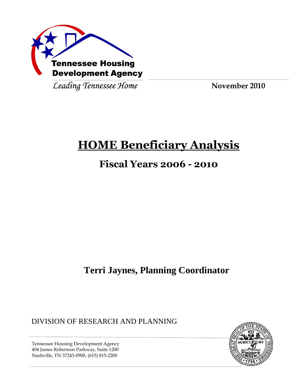

Leading Tennessee Home

**November 2010**

# **HOME Beneficiary Analysis**

# **Fiscal Years 2006 - 2010**

**Terri Jaynes, Planning Coordinator**

DIVISION OF RESEARCH AND PLANNING



Tennessee Housing Development Agency 404 James Robertson Parkway, Suite 1200 Nashville, TN 37243-0900, (615) 815-2200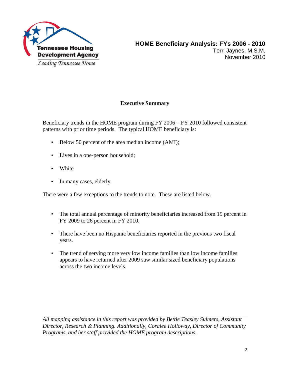

# **Executive Summary**

Beneficiary trends in the HOME program during FY 2006 – FY 2010 followed consistent patterns with prior time periods. The typical HOME beneficiary is:

- Below 50 percent of the area median income (AMI);
- Lives in a one-person household;
- White
- In many cases, elderly.

There were a few exceptions to the trends to note. These are listed below.

- The total annual percentage of minority beneficiaries increased from 19 percent in FY 2009 to 26 percent in FY 2010.
- There have been no Hispanic beneficiaries reported in the previous two fiscal years.
- The trend of serving more very low income families than low income families appears to have returned after 2009 saw similar sized beneficiary populations across the two income levels.

*All mapping assistance in this report was provided by Bettie Teasley Sulmers, Assistant Director, Research & Planning. Additionally, Coralee Holloway, Director of Community Programs, and her staff provided the HOME program descriptions.*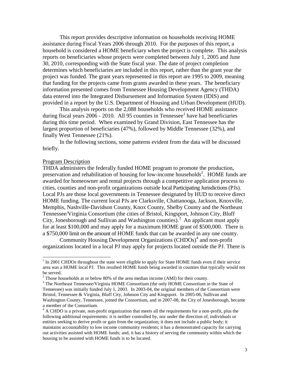This report provides descriptive information on households receiving HOME assistance during Fiscal Years 2006 through 2010. For the purposes of this report, a household is considered a HOME beneficiary when the project is complete. This analysis reports on beneficiaries whose projects were completed between July 1, 2005 and June 30, 2010, corresponding with the State fiscal year. The date of project completion determines which beneficiaries are included in this report, rather than the grant year the project was funded. The grant years represented in this report are 1995 to 2009, meaning that funding for the projects came from grants awarded in these years. The beneficiary information presented comes from Tennessee Housing Development Agency (THDA) data entered into the Integrated Disbursement and Information System (IDIS) and provided in a report by the U.S. Department of Housing and Urban Development (HUD).

This analysis reports on the 2,088 households who received HOME assistance during fiscal years  $2006$  - 2010. All 95 counties in Tennessee<sup>1</sup> have had beneficiaries during this time period. When examined by Grand Division, East Tennessee has the largest proportion of beneficiaries (47%), followed by Middle Tennessee (32%), and finally West Tennessee (21%).

In the following sections, some patterns evident from the data will be discussed briefly.

#### Program Description

l

THDA administers the federally funded HOME program to promote the production, preservation and rehabilitation of housing for low-income households<sup>2</sup>. HOME funds are awarded for homeowner and rental projects through a competitive application process to cities, counties and non-profit organizations outside local Participating Jurisdictions(PJs). Local PJs are those local governments in Tennessee designated by HUD to receive direct HOME funding. The current local PJs are Clarksville, Chattanooga, Jackson, Knoxville, Memphis, Nashville-Davidson County, Knox County, Shelby County and the Northeast Tennessee/Virginia Consortium (the cities of Bristol, Kingsport, Johnson City, Bluff City, Jonesborough and Sullivan and Washington counties). <sup>3</sup> An applicant must apply for at least \$100,000 and may apply for a maximum HOME grant of \$500,000. There is a \$750,000 limit on the amount of HOME funds that can be awarded in any one county.

Community Housing Development Organizations (CHDOs)<sup>4</sup> and non-profit organizations located in a local PJ may apply for projects located outside the PJ. There is

 $1$  In 2001 CHDOs throughout the state were eligible to apply for State HOME funds even if their service area was a HOME local PJ. This resulted HOME funds being awarded in counties that typically would not be served.

 $2$  Those households at or below 80% of the area median income (AMI) for their county.

<sup>&</sup>lt;sup>3</sup> The Northeast Tennessee/Virginia HOME Consortium (the only HOME Consortium in the State of Tennessee) was initially funded July 1, 2003. In 2003-04, the original members of the Consortium were Bristol, Tennessee & Virginia, Bluff City, Johnson City and Kingsport. In 2005-06, Sullivan and Washington County, Tennessee, joined the Consortium, and in 2007-08, the City of Jonesborough, became a member of the Consortium.

 $4 \text{ A CHDO}$  is a private, non-profit organization that meets all the requirements for a non-profit, plus the following additional requirements: it is neither controlled by, nor under the direction of, individuals or entities seeking to derive profit or gain from the organization; it does not include a public body; it maintains accountability to low income community residents; it has a demonstrated capacity for carrying out activities assisted with HOME funds; and, it has a history of serving the community within which the housing to be assisted with HOME funds is to be located.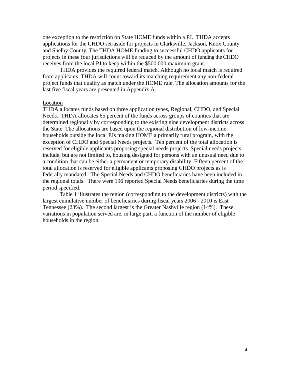one exception to the restriction on State HOME funds within a PJ. THDA accepts applications for the CHDO set-aside for projects in Clarksville, Jackson, Knox County and Shelby County. The THDA HOME funding to successful CHDO applicants for projects in these four jurisdictions will be reduced by the amount of funding the CHDO receives from the local PJ to keep within the \$500,000 maximum grant.

THDA provides the required federal match. Although no local match is required from applicants, THDA will count toward its matching requirement any non-federal project funds that qualify as match under the HOME rule. The allocation amounts for the last five fiscal years are presented in Appendix A.

#### Location

THDA allocates funds based on three application types, Regional, CHDO, and Special Needs. THDA allocates 65 percent of the funds across groups of counties that are determined regionally by corresponding to the existing nine development districts across the State. The allocations are based upon the regional distribution of low-income households outside the local PJs making HOME a primarily rural program, with the exception of CHDO and Special Needs projects. Ten percent of the total allocation is reserved for eligible applicants proposing special needs projects. Special needs projects include, but are not limited to, housing designed for persons with an unusual need due to a condition that can be either a permanent or temporary disability. Fifteen percent of the total allocation is reserved for eligible applicants proposing CHDO projects as is federally mandated. The Special Needs and CHDO beneficiaries have been included in the regional totals. There were 196 reported Special Needs beneficiaries during the time period specified.

Table 1 illustrates the region (corresponding to the development districts) with the largest cumulative number of beneficiaries during fiscal years 2006 - 2010 is East Tennessee (23%). The second largest is the Greater Nashville region (14%). These variations in population served are, in large part, a function of the number of eligible households in the region.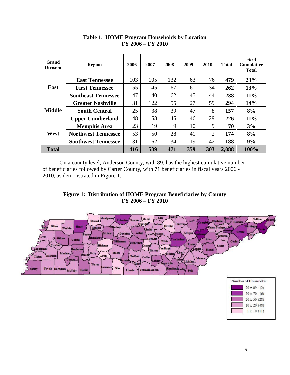| Grand<br><b>Division</b> | <b>Region</b>              | 2006 | 2007 | 2008 | 2009 | 2010           | <b>Total</b> | $%$ of<br><b>Cumulative</b><br><b>Total</b> |
|--------------------------|----------------------------|------|------|------|------|----------------|--------------|---------------------------------------------|
|                          | <b>East Tennessee</b>      | 103  | 105  | 132  | 63   | 76             | 479          | 23%                                         |
| East                     | <b>First Tennessee</b>     | 55   | 45   | 67   | 61   | 34             | 262          | 13%                                         |
|                          | <b>Southeast Tennessee</b> | 47   | 40   | 62   | 45   | 44             | 238          | 11%                                         |
|                          | <b>Greater Nashville</b>   | 31   | 122  | 55   | 27   | 59             | 294          | 14%                                         |
| <b>Middle</b>            | <b>South Central</b>       | 25   | 38   | 39   | 47   | 8              | 157          | 8%                                          |
|                          | <b>Upper Cumberland</b>    | 48   | 58   | 45   | 46   | 29             | 226          | 11%                                         |
|                          | <b>Memphis Area</b>        | 23   | 19   | 9    | 10   | 9              | 70           | 3%                                          |
| West                     | <b>Northwest Tennessee</b> | 53   | 50   | 28   | 41   | $\overline{2}$ | 174          | 8%                                          |
|                          | <b>Southwest Tennessee</b> | 31   | 62   | 34   | 19   | 42             | 188          | 9%                                          |
| <b>Total</b>             |                            | 416  | 539  | 471  | 359  | 303            | 2,088        | 100%                                        |

#### **Table 1. HOME Program Households by Location FY 2006 – FY 2010**

On a county level, Anderson County, with 89, has the highest cumulative number of beneficiaries followed by Carter County, with 71 beneficiaries in fiscal years 2006 - 2010, as demonstrated in Figure 1.





10 to 20 (48)  $1$  to  $10(11)$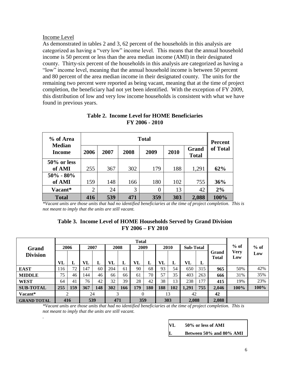#### Income Level

*.* 

As demonstrated in tables 2 and 3, 62 percent of the households in this analysis are categorized as having a "very low" income level. This means that the annual household income is 50 percent or less than the area median income (AMI) in their designated county. Thirty-six percent of the households in this analysis are categorized as having a "low" income level, meaning that the annual household income is between 50 percent and 80 percent of the area median income in their designated county. The units for the remaining two percent were reported as being vacant, meaning that at the time of project completion, the beneficiary had not yet been identified. With the exception of FY 2009, this distribution of low and very low income households is consistent with what we have found in previous years.

| % of Area                      |                |      | <b>Percent</b> |          |      |                       |          |  |
|--------------------------------|----------------|------|----------------|----------|------|-----------------------|----------|--|
| <b>Median</b><br><b>Income</b> | 2006           | 2007 | 2008           | 2009     | 2010 | Grand<br><b>Total</b> | of Total |  |
| $50\%$ or less                 |                |      |                |          |      |                       |          |  |
| of AMI                         | 255            | 367  | 302            | 179      | 188  | 1,291                 | 62%      |  |
| $50\% - 80\%$                  |                |      |                |          |      |                       |          |  |
| of AMI                         | 159            | 148  | 166            | 180      | 102  | 755                   | 36%      |  |
| Vacant*                        | $\overline{2}$ | 24   | 3              | $\theta$ | 13   | 42                    | 2%       |  |
| <b>Total</b>                   | 416            | 539  | 471            | 359      | 303  | 2,088                 | 100%     |  |

## **Table 2. Income Level for HOME Beneficiaries FY 2006 - 2010**

*\*Vacant units are those units that had no identified beneficiaries at the time of project completion. This is not meant to imply that the units are still vacant.* 

#### **Table 3. Income Level of HOME Households Served by Grand Division FY 2006 – FY 2010**

|                    | <b>Total</b> |     |      |     |      |     |      |     |      |     |                  |     |                       |                    |        |
|--------------------|--------------|-----|------|-----|------|-----|------|-----|------|-----|------------------|-----|-----------------------|--------------------|--------|
| Grand              | 2006         |     | 2007 |     | 2008 |     | 2009 |     | 2010 |     | <b>Sub-Total</b> |     |                       | $%$ of             | $%$ of |
| <b>Division</b>    |              |     |      |     |      |     |      |     |      |     |                  |     | Grand<br><b>Total</b> | <b>Very</b><br>Low | Low    |
|                    | VL           | L   | VL   | L   | VL   | L   | VL   | L   | VL   | L   | VL               | L   |                       |                    |        |
| <b>EAST</b>        | 116          | 72  | 147  | 60  | 204  | 61  | 90   | 68  | 93   | 54  | 650              | 315 | 965                   | 50%                | 42%    |
| <b>MIDDLE</b>      | 75           | 46  | 144  | 46  | 66   | 66  | 61   | 70  | 57   | 35  | 403              | 263 | 666                   | 31%                | 35%    |
| <b>WEST</b>        | 64           | 41  | 76   | 42  | 32   | 39  | 28   | 42  | 38   | 13  | 238              | 177 | 415                   | 19%                | 23%    |
| <b>SUB-TOTAL</b>   | 255          | 159 | 367  | 148 | 302  | 166 | 179  | 180 | 188  | 102 | 1,291            | 755 | 2,046                 | 100%               | 100%   |
| Vacant*            |              | ◠   | 24   |     | 3    |     | 0    |     |      | 13  | 42               |     | 42                    |                    |        |
| <b>GRAND TOTAL</b> |              | 416 | 539  |     | 471  |     | 359  |     |      | 303 | 2,088            |     | 2,088                 |                    |        |

*\*Vacant units are those units that had no identified beneficiaries at the time of project completion. This is not meant to imply that the units are still vacant.* 

| VL       | 50% or less of AMI      |
|----------|-------------------------|
| <b>L</b> | Between 50% and 80% AMI |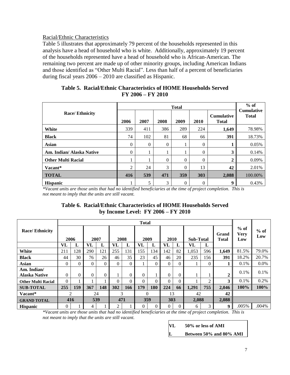# Racial/Ethnic Characteristics

Table 5 illustrates that approximately 79 percent of the households represented in this analysis have a head of household who is white. Additionally, approximately 19 percent of the households represented have a head of household who is African-American. The remaining two percent are made up of other minority groups, including American Indians and those identified as "Other Multi Racial". Less than half of a percent of beneficiaries during fiscal years 2006 – 2010 are classified as Hispanic.

|                           |          | $%$ of   |          |                  |                  |                                   |                                   |
|---------------------------|----------|----------|----------|------------------|------------------|-----------------------------------|-----------------------------------|
| <b>Race/Ethnicity</b>     | 2006     | 2007     | 2008     | 2009             | 2010             | <b>Cumulative</b><br><b>Total</b> | <b>Cumulative</b><br><b>Total</b> |
| White                     | 339      | 411      | 386      | 289              | 224              | 1,649                             | 78.98%                            |
| <b>Black</b>              | 74       | 102      | 81       | 68               | 66               | 391                               | 18.73%                            |
| <b>Asian</b>              | $\Omega$ | $\theta$ | $\theta$ | ı                | $\overline{0}$   |                                   | 0.05%                             |
| Am. Indian/ Alaska Native | $\Omega$ |          |          |                  | $\overline{0}$   | 3                                 | 0.14%                             |
| <b>Other Multi Racial</b> |          |          | $\Omega$ | 0                | $\overline{0}$   | 2                                 | 0.09%                             |
| Vacant*                   | 2        | 24       | 3        | 0                | 13               | 42                                | 2.01%                             |
| <b>TOTAL</b>              | 416      | 539      | 471      | 359              | 303              | 2,088                             | 100.00%                           |
| <b>Hispanic</b>           |          | 5        | 3        | $\boldsymbol{0}$ | $\boldsymbol{0}$ | 9                                 | 0.43%                             |

|                     | <b>Table 5. Racial/Ethnic Characteristics of HOME Households Served</b> |
|---------------------|-------------------------------------------------------------------------|
| $FY$ 2006 – FY 2010 |                                                                         |

*\*Vacant units are those units that had no identified beneficiaries at the time of project completion. This is not meant to imply that the units are still vacant.* 

#### **Table 6. Racial/Ethnic Characteristics of HOME Households Served by Income Level: FY 2006 – FY 2010**

|                           |          | <b>Total</b>   |          |          |          |          |          |            |          |          |                  |          |                       |                              |               |
|---------------------------|----------|----------------|----------|----------|----------|----------|----------|------------|----------|----------|------------------|----------|-----------------------|------------------------------|---------------|
| <b>Race/Ethnicity</b>     |          | 2006           |          | 2007     |          | 2008     | 2009     |            | 2010     |          | <b>Sub-Total</b> |          | Grand<br><b>Total</b> | $%$ of<br><b>Very</b><br>Low | $%$ of<br>Low |
|                           | VL       | L              | VL       | L        | VL       | L        | VL       | L          | VL       | L        | VL               | L        |                       |                              |               |
| White                     | 211      | 128            | 290      | 121      | 255      | 131      | 155      | 134        | 142      | 82       | 1,053            | 596      | 1,649                 | 81.5%                        | 79.0%         |
| <b>Black</b>              | 44       | 30             | 76       | 26       | 46       | 35       | 23       | 45         | 46       | 20       | 235              | 156      | 391                   | 18.2%                        | 20.7%         |
| <b>Asian</b>              | $\Omega$ | $\Omega$       | $\Omega$ | $\Omega$ | $\Omega$ | $\Omega$ |          | $\Omega$   | 0        | $\theta$ |                  | $\Omega$ |                       | 0.1%                         | $0.0\%$       |
| Am. Indian/               |          |                |          |          |          |          |          |            |          |          |                  |          |                       | 0.1%                         | 0.1%          |
| <b>Alaska Native</b>      | $\Omega$ | $\theta$       | $\Omega$ | $\Omega$ |          | $\Omega$ | $\Omega$ |            | 0        | 0        |                  |          | $\overline{2}$        |                              |               |
| <b>Other Multi Racial</b> | $\Omega$ |                |          |          | $\Omega$ | $\Omega$ | $\Omega$ | $\Omega$   | $\Omega$ | $\theta$ |                  | ◠        | 3                     | 0.1%                         | 0.2%          |
| <b>SUB-TOTAL</b>          | 255      | 159            | 367      | 148      | 302      | 166      | 179      | <b>180</b> | 224      | 66       | 1,291            | 755      | 2,046                 | 100%                         | 100%          |
| Vacant*                   |          | $\overline{2}$ |          | 24       |          | 3        | $\Omega$ |            | 13       |          | 42               |          | 42                    |                              |               |
| <b>GRAND TOTAL</b>        |          | 416            |          | 539      |          | 471      | 359      |            | 303      |          | 2,088            |          | 2,088                 |                              |               |
| <b>Hispanic</b>           | 0        |                | 4        |          | 2        |          | 0        | $\Omega$   | 0        | 0        | 6                | 3        | 9                     | .005%                        | .004%         |

*\*Vacant units are those units that had no identified beneficiaries at the time of project completion. This is not meant to imply that the units are still vacant.* 

| $\mathbf{V}$ | 50% or less of AMI      |
|--------------|-------------------------|
| $\mathbf{L}$ | Between 50% and 80% AMI |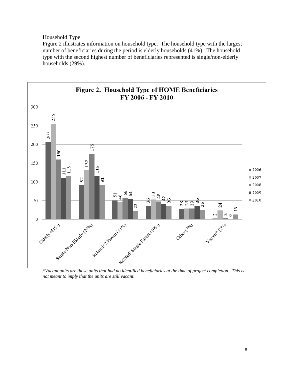#### Household Type

Figure 2 illustrates information on household type. The household type with the largest number of beneficiaries during the period is elderly households (41%). The household type with the second highest number of beneficiaries represented is single/non-elderly households (29%).



*not meant to imply that the units are still vacant.*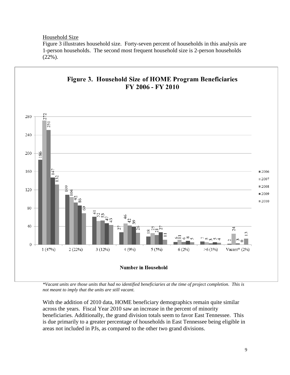Household Size

Figure 3 illustrates household size. Forty-seven percent of households in this analysis are 1-person households. The second most frequent household size is 2-person households (22%).



*\*Vacant units are those units that had no identified beneficiaries at the time of project completion. This is not meant to imply that the units are still vacant.* 

With the addition of 2010 data, HOME beneficiary demographics remain quite similar across the years. Fiscal Year 2010 saw an increase in the percent of minority beneficiaries. Additionally, the grand division totals seem to favor East Tennessee. This is due primarily to a greater percentage of households in East Tennessee being eligible in areas not included in PJs, as compared to the other two grand divisions.